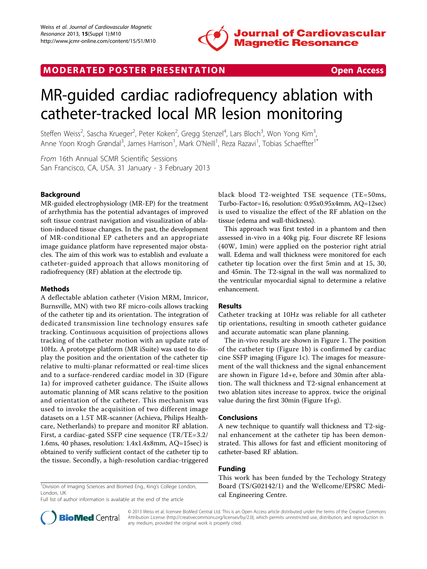

## MODERATED POSTER PRESENTATION **SECURE 20 SET ACCESS**

# MR-guided cardiac radiofrequency ablation with catheter-tracked local MR lesion monitoring

Steffen Weiss<sup>2</sup>, Sascha Krueger<sup>2</sup>, Peter Koken<sup>2</sup>, Gregg Stenzel<sup>4</sup>, Lars Bloch<sup>3</sup>, Won Yong Kim<sup>3</sup> , Anne Yoon Krogh Grøndal<sup>3</sup>, James Harrison<sup>1</sup>, Mark O'Neill<sup>1</sup>, Reza Razavi<sup>1</sup>, Tobias Schaeffter<sup>1\*</sup>

From 16th Annual SCMR Scientific Sessions San Francisco, CA, USA. 31 January - 3 February 2013

### Background

MR-guided electrophysiology (MR-EP) for the treatment of arrhythmia has the potential advantages of improved soft tissue contrast navigation and visualization of ablation-induced tissue changes. In the past, the development of MR-conditional EP catheters and an appropriate image guidance platform have represented major obstacles. The aim of this work was to establish and evaluate a catheter-guided approach that allows monitoring of radiofrequency (RF) ablation at the electrode tip.

#### **Methods**

A deflectable ablation catheter (Vision MRM, Imricor, Burnsville, MN) with two RF micro-coils allows tracking of the catheter tip and its orientation. The integration of dedicated transmission line technology ensures safe tracking. Continuous acquisition of projections allows tracking of the catheter motion with an update rate of 10Hz. A prototype platform (MR iSuite) was used to display the position and the orientation of the catheter tip relative to multi-planar reformatted or real-time slices and to a surface-rendered cardiac model in 3D (Figure [1a\)](#page-1-0) for improved catheter guidance. The iSuite allows automatic planning of MR scans relative to the position and orientation of the catheter. This mechanism was used to invoke the acquisition of two different image datasets on a 1.5T MR-scanner (Achieva, Philips Healthcare, Netherlands) to prepare and monitor RF ablation. First, a cardiac-gated SSFP cine sequence (TR/TE=3.2/ 1.6ms, 40 phases, resolution: 1.4x1.4x8mm, AQ=15sec) is obtained to verify sufficient contact of the catheter tip to the tissue. Secondly, a high-resolution cardiac-triggered

<sup>1</sup>Division of Imaging Sciences and Biomed Eng., King's College London, London, UK

Full list of author information is available at the end of the article



This approach was first tested in a phantom and then assessed in-vivo in a 40kg pig. Four discrete RF lesions (40W, 1min) were applied on the posterior right atrial wall. Edema and wall thickness were monitored for each catheter tip location over the first 5min and at 15, 30, and 45min. The T2-signal in the wall was normalized to the ventricular myocardial signal to determine a relative enhancement.

#### Results

Catheter tracking at 10Hz was reliable for all catheter tip orientations, resulting in smooth catheter guidance and accurate automatic scan plane planning.

The in-vivo results are shown in Figure [1.](#page-1-0) The position of the catheter tip (Figure [1b\)](#page-1-0) is confirmed by cardiac cine SSFP imaging (Figure [1c](#page-1-0)). The images for measurement of the wall thickness and the signal enhancement are shown in Figure [1d+e,](#page-1-0) before and 30min after ablation. The wall thickness and T2-signal enhancement at two ablation sites increase to approx. twice the original value during the first 30min (Figure [1f+g](#page-1-0)).

#### Conclusions

A new technique to quantify wall thickness and T2-signal enhancement at the catheter tip has been demonstrated. This allows for fast and efficient monitoring of catheter-based RF ablation.

#### Funding

This work has been funded by the Techology Strategy Board (TS/G02142/1) and the Wellcome/EPSRC Medical Engineering Centre.



© 2013 Weiss et al; licensee BioMed Central Ltd. This is an Open Access article distributed under the terms of the Creative Commons Attribution License [\(http://creativecommons.org/licenses/by/2.0](http://creativecommons.org/licenses/by/2.0)), which permits unrestricted use, distribution, and reproduction in any medium, provided the original work is properly cited.